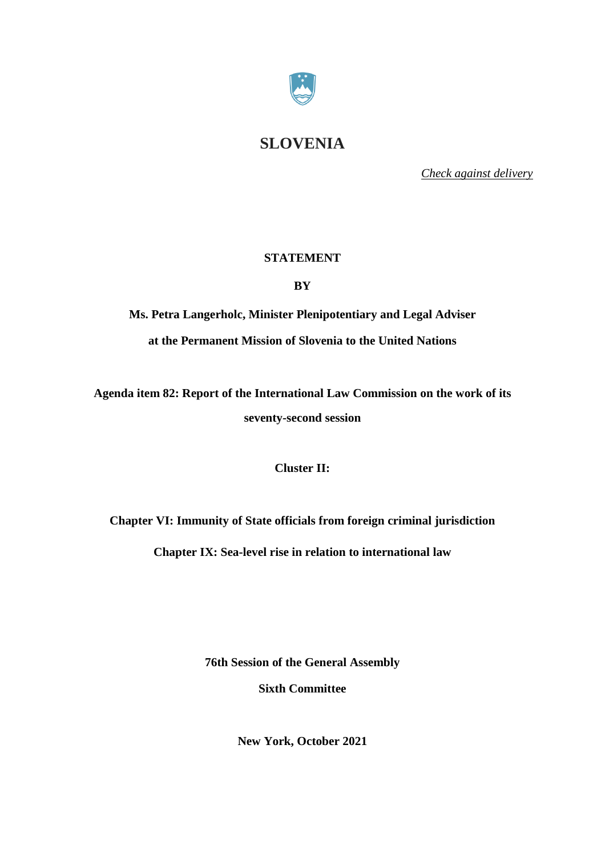

## **SLOVENIA**

*Check against delivery*

## **STATEMENT**

**BY**

**Ms. Petra Langerholc, Minister Plenipotentiary and Legal Adviser at the Permanent Mission of Slovenia to the United Nations**

**Agenda item 82: Report of the International Law Commission on the work of its seventy-second session**

**Cluster II:**

**Chapter VI: Immunity of State officials from foreign criminal [jurisdiction](http://legal.un.org/docs/?path=../ilc/reports/2021/english/chp6.pdf&lang=EFSRAC)**

**Chapter IX: Sea-level rise in relation to [international](http://legal.un.org/docs/?path=../ilc/reports/2021/english/chp9.pdf&lang=EFSRAC) law**

**76th Session of the General Assembly**

**Sixth Committee**

**New York, October 2021**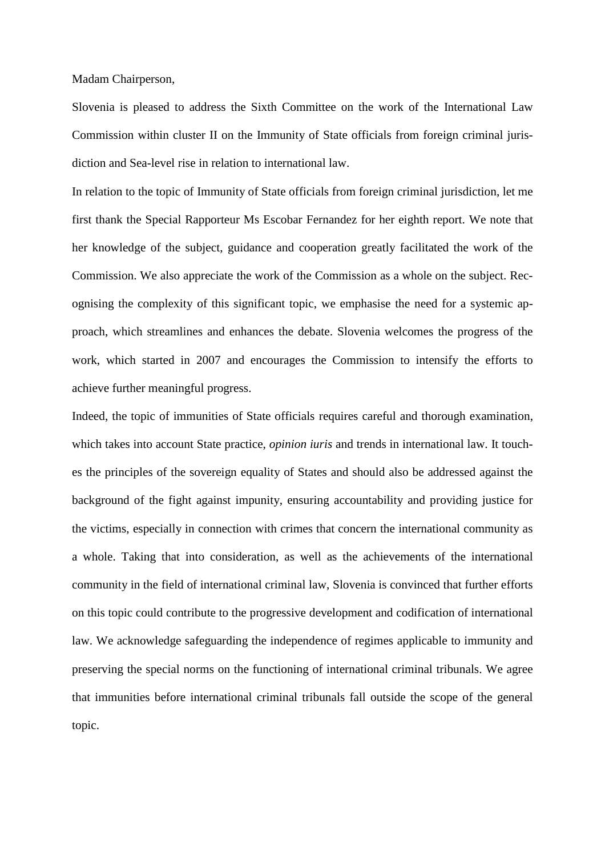Madam Chairperson,

Slovenia is pleased to address the Sixth Committee on the work of the International Law Commission within cluster II on the [Immunity](http://legal.un.org/docs/?path=../ilc/reports/2021/english/chp6.pdf&lang=EFSRAC) of State officials from foreign criminal juris[diction](http://legal.un.org/docs/?path=../ilc/reports/2021/english/chp6.pdf&lang=EFSRAC) and Sea-level rise in relation to [international](http://legal.un.org/docs/?path=../ilc/reports/2021/english/chp9.pdf&lang=EFSRAC) law.

In relation to the topic of Immunity of State officials from foreign criminal [jurisdiction,](http://legal.un.org/docs/?path=../ilc/reports/2021/english/chp6.pdf&lang=EFSRAC) let me first thank the Special Rapporteur Ms Escobar Fernandez for her eighth report. We note that her knowledge of the subject, guidance and cooperation greatly facilitated the work of the Commission. We also appreciate the work of the Commission as a whole on the subject. Recognising the complexity of this significant topic, we emphasise the need for a systemic approach, which streamlines and enhances the debate. Slovenia welcomes the progress of the work, which started in 2007 and encourages the Commission to intensify the efforts to achieve further meaningful progress.

Indeed, the topic of immunities of State officials requires careful and thorough examination, which takes into account State practice, *opinion iuris* and trends in international law. It touches the principles of the sovereign equality of States and should also be addressed against the background of the fight against impunity, ensuring accountability and providing justice for the victims, especially in connection with crimes that concern the international community as a whole. Taking that into consideration, as well as the achievements of the international community in the field of international criminal law, Slovenia is convinced that further efforts on this topic could contribute to the progressive development and codification of international law. We acknowledge safeguarding the independence of regimes applicable to immunity and preserving the special norms on the functioning of international criminal tribunals. We agree that immunities before international criminal tribunals fall outside the scope of the general topic.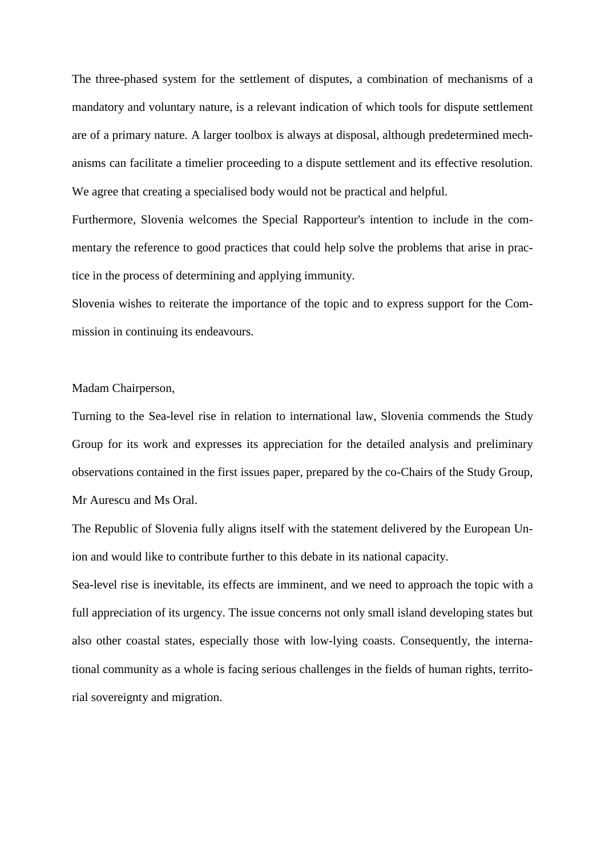The three-phased system for the settlement of disputes, a combination of mechanisms of a mandatory and voluntary nature, is a relevant indication of which tools for dispute settlement are of a primary nature. A larger toolbox is always at disposal, although predetermined mechanisms can facilitate a timelier proceeding to a dispute settlement and its effective resolution. We agree that creating a specialised body would not be practical and helpful.

Furthermore, Slovenia welcomes the Special Rapporteur's intention to include in the commentary the reference to good practices that could help solve the problems that arise in practice in the process of determining and applying immunity.

Slovenia wishes to reiterate the importance of the topic and to express support for the Commission in continuing its endeavours.

## Madam Chairperson,

Turning to the Sea-level rise in relation to international law, Slovenia commends the Study Group for its work and expresses its appreciation for the detailed analysis and preliminary observations contained in the first issues paper, prepared by the co-Chairs of the Study Group, Mr Aurescu and Ms Oral.

The Republic of Slovenia fully aligns itself with the statement delivered by the European Union and would like to contribute further to this debate in its national capacity.

Sea-level rise is inevitable, its effects are imminent, and we need to approach the topic with a full appreciation of its urgency. The issue concerns not only small island developing states but also other coastal states, especially those with low-lying coasts. Consequently, the international community as a whole is facing serious challenges in the fields of human rights, territorial sovereignty and migration.